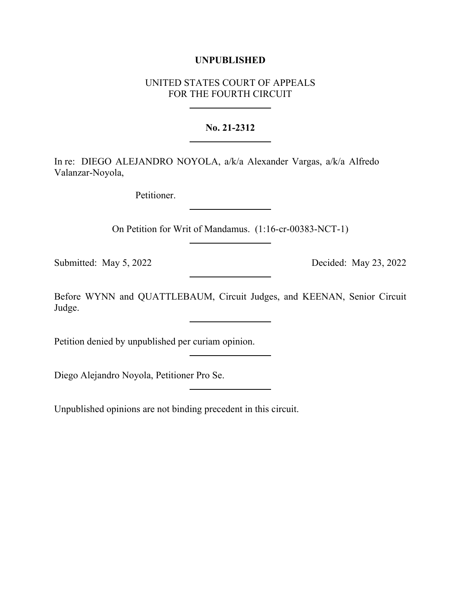## **UNPUBLISHED**

## UNITED STATES COURT OF APPEALS FOR THE FOURTH CIRCUIT

## **No. 21-2312**

In re: DIEGO ALEJANDRO NOYOLA, a/k/a Alexander Vargas, a/k/a Alfredo Valanzar-Noyola,

Petitioner.

On Petition for Writ of Mandamus. (1:16-cr-00383-NCT-1)

Submitted: May 5, 2022 Decided: May 23, 2022

Before WYNN and QUATTLEBAUM, Circuit Judges, and KEENAN, Senior Circuit Judge.

Petition denied by unpublished per curiam opinion.

Diego Alejandro Noyola, Petitioner Pro Se.

Unpublished opinions are not binding precedent in this circuit.